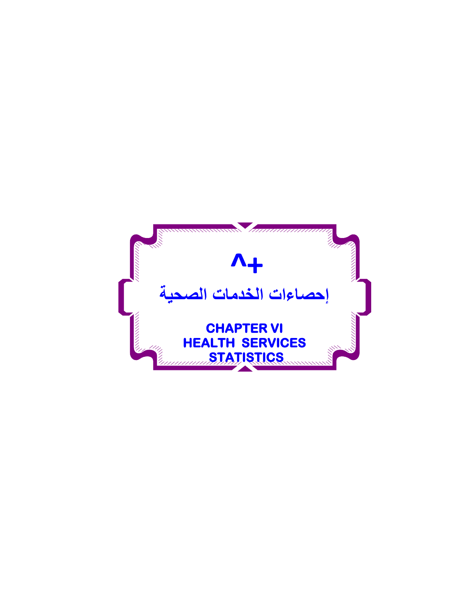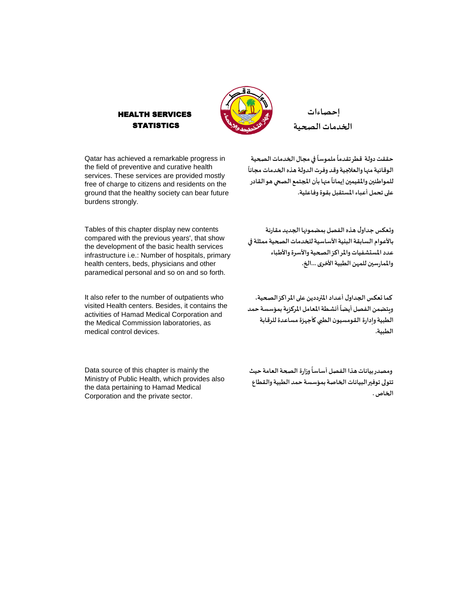

**إحصاءات الخدماتالصحية**

Qatar has achieved a remarkable progress in the field of preventive and curative health services. These services are provided mostly free of charge to citizens and residents on the ground that the healthy society can bear future burdens strongly.

HEALTH SERVICES **STATISTICS** 

Tables of this chapter display new contents compared with the previous years', that show the development of the basic health services infrastructure i.e.: Number of hospitals, primary health centers, beds, physicians and other paramedical personal and so on and so forth.

It also refer to the number of outpatients who visited Health centers. Besides, it contains the activities of Hamad Medical Corporation and the Medical Commission laboratories, as medical control devices.

Data source of this chapter is mainly the Ministry of Public Health, which provides also the data pertaining to Hamad Medical Corporation and the private sector.

حققت دولة قطر تقدماً ملموساً في مجال الخدمات الصحية **ً** الوقائية منها والعلاجية وقد وفرت الدولة هذه الخدمات مجاناً للمواطنين والمقيمين إيماناً منها بأن المجتمع الصحي هو القادر **ً علىتحمل أعباءاملستقبل بقوةوفاعلية.**

**ً**

**ً**

**وتعكس جداول هذهالفصل بمضمونها الجديد مقارنة باألعوام السابقةالبنيةاألساسيةللخدماتالصحيةممثلةفي عدداملستشفياتواملراكزالصحيةواألسرةواألطباء واملمارسين للمهن الطبيةاألخرى ...الخ.**

**كما تعكس الجداول أعـداداملترددين علىاملراكزالصحية،** ويتضمن الفصل أيضاً أنشطة المعامل المركزية بمؤسسة حمد **ً الطبيةوإدارة القومسيون الطبيكأجهزةمساعدةللرقابة الطبية.**

ومصدر بيانات هذا الفصل أساساً وزارة الصحة العامة حيث **ً تتولىتوفيرالبياناتالخاصةبمؤسسة حمد الطبيةوالقطاع الخاص.**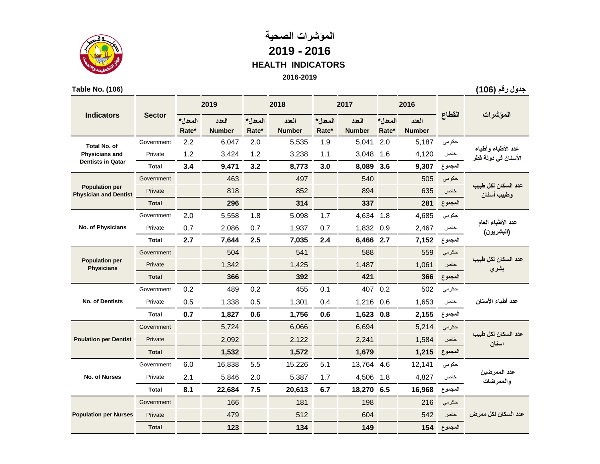

# **المؤشرات الصحية 2019 - 2016 HEALTH INDICATORS 2016-2019**

#### **Table No. (106)**

**جدول رقم )106(**

|                                                       |               |         | 2019          |         | 2018          |         | 2017          |         | 2016          |         |                                 |
|-------------------------------------------------------|---------------|---------|---------------|---------|---------------|---------|---------------|---------|---------------|---------|---------------------------------|
| <b>Indicators</b>                                     | <b>Sector</b> | المعدل* | العدد         | المعدل* | العدد         | المعدل* | العدد         | المعدل* | العدد         | القطاع  | الموشرات                        |
|                                                       |               | Rate*   | <b>Number</b> | Rate*   | <b>Number</b> | Rate*   | <b>Number</b> | Rate*   | <b>Number</b> |         |                                 |
| <b>Total No. of</b>                                   | Government    | 2.2     | 6,047         | 2.0     | 5,535         | 1.9     | 5,041         | 2.0     | 5,187         | حكومى   | عدد الأطباء وأطباء              |
| <b>Physicians and</b><br><b>Dentists in Qatar</b>     | Private       | 1.2     | 3,424         | 1.2     | 3,238         | 1.1     | 3,048         | 1.6     | 4,120         | خاص     | الأسنان في دولة قطر             |
|                                                       | Total         | 3.4     | 9,471         | 3.2     | 8,773         | 3.0     | 8,089         | 3.6     | 9,307         | المجموع |                                 |
|                                                       | Government    |         | 463           |         | 497           |         | 540           |         | 505           | حكومى   | عدد السكان لكل طببب             |
| <b>Population per</b><br><b>Physician and Dentist</b> | Private       |         | 818           |         | 852           |         | 894           |         | 635           | خاص     | وطبيب أسنان                     |
|                                                       | <b>Total</b>  |         | 296           |         | 314           |         | 337           |         | 281           | المجموع |                                 |
|                                                       | Government    | 2.0     | 5,558         | 1.8     | 5,098         | 1.7     | 4,634         | 1.8     | 4,685         | حكومى   | عدد الأطباء العام<br>(البشريون) |
| No. of Physicians                                     | Private       | 0.7     | 2,086         | 0.7     | 1,937         | 0.7     | 1,832         | 0.9     | 2,467         | خاص     |                                 |
|                                                       | <b>Total</b>  | 2.7     | 7,644         | 2.5     | 7,035         | 2.4     | 6,466         | 2.7     | 7,152         | المجموع |                                 |
| <b>Population per</b><br><b>Physicians</b>            | Government    |         | 504           |         | 541           |         | 588           |         | 559           | حكومى   | عدد السكان لكل طببب             |
|                                                       | Private       |         | 1,342         |         | 1,425         |         | 1,487         |         | 1,061         | خاص     | بشري                            |
|                                                       | <b>Total</b>  |         | 366           |         | 392           |         | 421           |         | 366           | المجموع |                                 |
|                                                       | Government    | 0.2     | 489           | 0.2     | 455           | 0.1     | 407           | 0.2     | 502           | حكومى   | عدد أطباء الأسنان               |
| <b>No. of Dentists</b>                                | Private       | 0.5     | 1,338         | 0.5     | 1,301         | 0.4     | 1,216         | 0.6     | 1,653         | خاص     |                                 |
|                                                       | <b>Total</b>  | 0.7     | 1,827         | 0.6     | 1,756         | 0.6     | 1,623         | 0.8     | 2,155         | المجموع |                                 |
|                                                       | Government    |         | 5,724         |         | 6,066         |         | 6,694         |         | 5,214         | حكومي   |                                 |
| <b>Poulation per Dentist</b>                          | Private       |         | 2,092         |         | 2,122         |         | 2,241         |         | 1,584         | خاص     | عدد السكان لكل طبيب<br>اسنان    |
|                                                       | <b>Total</b>  |         | 1,532         |         | 1,572         |         | 1,679         |         | 1,215         | المجموع |                                 |
|                                                       | Government    | 6.0     | 16,838        | 5.5     | 15,226        | 5.1     | 13,764        | 4.6     | 12,141        | حكومى   |                                 |
| No. of Nurses                                         | Private       | 2.1     | 5,846         | 2.0     | 5,387         | 1.7     | 4,506         | 1.8     | 4,827         | خاص     | عدد الممرضين<br>والممرضات       |
|                                                       | <b>Total</b>  | 8.1     | 22,684        | 7.5     | 20,613        | 6.7     | 18,270 6.5    |         | 16,968        | المجموع |                                 |
|                                                       | Government    |         | 166           |         | 181           |         | 198           |         | 216           | حكومي   |                                 |
| <b>Population per Nurses</b>                          | Private       |         | 479           |         | 512           |         | 604           |         | 542           | خاص     | عدد السكان لكل ممر ض            |
|                                                       | <b>Total</b>  |         | 123           |         | 134           |         | 149           |         | 154           | المجموع |                                 |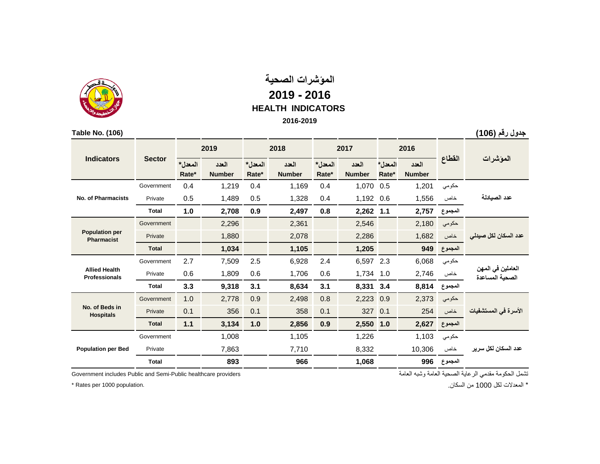

## **المؤشرات الصحية 2019 - 2016 HEALTH INDICATORS 2016-2019**

| Table No. (106)                              |               |                  |                        |                  |               |         |               |         |               |         | جدول رقم (106)                       |
|----------------------------------------------|---------------|------------------|------------------------|------------------|---------------|---------|---------------|---------|---------------|---------|--------------------------------------|
| <b>Indicators</b>                            |               | 2019             |                        |                  | 2018          |         | 2017          |         | 2016          |         |                                      |
|                                              | <b>Sector</b> | المعدل*<br>Rate* | العدد<br><b>Number</b> | المعدل*<br>Rate* | العدد         | المعدل* | العدد         | المعدل* | العدد         | القطاع  | الموشرات                             |
|                                              |               |                  |                        |                  | <b>Number</b> | Rate*   | <b>Number</b> | Rate*   | <b>Number</b> |         |                                      |
|                                              | Government    | 0.4              | 1,219                  | 0.4              | 1,169         | 0.4     | 1,070         | 0.5     | 1,201         | حكومي   |                                      |
| <b>No. of Pharmacists</b>                    | Private       | 0.5              | 1,489                  | 0.5              | 1,328         | 0.4     | 1,192         | 0.6     | 1,556         | خاص     | عدد الصيادلة                         |
|                                              | <b>Total</b>  | 1.0              | 2,708                  | 0.9              | 2,497         | 0.8     | 2,262         | 1.1     | 2,757         | المجموع |                                      |
| <b>Population per</b><br><b>Pharmacist</b>   | Government    |                  | 2,296                  |                  | 2,361         |         | 2,546         |         | 2,180         | حكومي   | عدد السكان لكل صيدلى                 |
|                                              | Private       |                  | 1,880                  |                  | 2,078         |         | 2,286         |         | 1,682         | خاص     |                                      |
|                                              | <b>Total</b>  |                  | 1,034                  |                  | 1,105         |         | 1,205         |         | 949           | المجموع |                                      |
|                                              | Government    | 2.7              | 7,509                  | 2.5              | 6,928         | 2.4     | 6,597         | 2.3     | 6,068         | حكومي   | العاملين في المهن<br>الصحية المساعدة |
| <b>Allied Health</b><br><b>Professionals</b> | Private       | 0.6              | 1,809                  | 0.6              | 1,706         | 0.6     | 1,734         | 1.0     | 2,746         | خاص     |                                      |
|                                              | <b>Total</b>  | 3.3              | 9,318                  | 3.1              | 8,634         | 3.1     | 8,331         | 3.4     | 8,814         | المجموع |                                      |
|                                              | Government    | 1.0              | 2,778                  | 0.9              | 2,498         | 0.8     | 2,223         | 0.9     | 2,373         | حكومي   |                                      |
| No. of Beds in<br><b>Hospitals</b>           | Private       | 0.1              | 356                    | 0.1              | 358           | 0.1     | 327           | 0.1     | 254           | خاص     | الأسرة في المستشفيات                 |
|                                              | <b>Total</b>  | 1.1              | 3,134                  | 1.0              | 2,856         | 0.9     | 2,550         | 1.0     | 2,627         | المجموع |                                      |
| <b>Population per Bed</b>                    | Government    |                  | 1,008                  |                  | 1,105         |         | 1,226         |         | 1,103         | حكومي   |                                      |
|                                              | Private       |                  | 7,863                  |                  | 7,710         |         | 8,332         |         | 10,306        | خاص     | عدد السكان لكل سرير                  |
|                                              | <b>Total</b>  |                  | 893                    |                  | 966           |         | 1,068         |         | 996           | المجموع |                                      |

تشمل الحكومة مقدمي الرعاية الصحية العامة وشبه العامة providers healthcare Public-Semi and Public includes Government

\* Rates per 1000 population.

\* المعدالت لكل 1000 من السكان.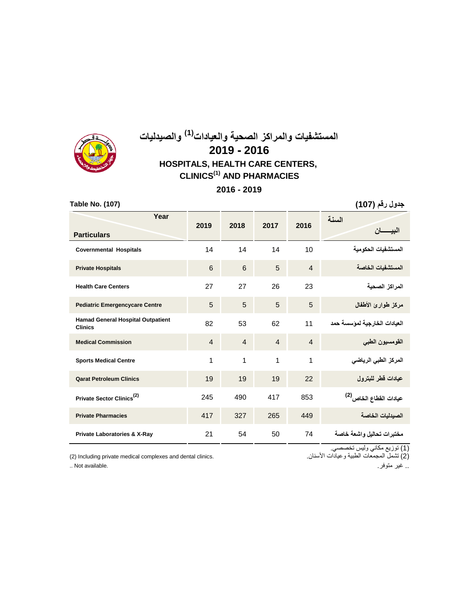

# **المستشفيات والمراكز الصحية والعيادات )1( والصيدليات 2019 - 2016 HOSPITALS, HEALTH CARE CENTERS, CLINICS(1) AND PHARMACIES**

**2016 - 2019**

| Table No. (107)                                            |                 |                |                |                | جدول رقم (107)                     |
|------------------------------------------------------------|-----------------|----------------|----------------|----------------|------------------------------------|
| Year<br><b>Particulars</b>                                 | 2019            | 2018           | 2017           | 2016           | السنة                              |
| <b>Covernmental Hospitals</b>                              | 14              | 14             | 14             | 10             | المستشفيات الحكو مبة               |
| <b>Private Hospitals</b>                                   | $6\phantom{1}6$ | 6              | 5              | $\overline{4}$ | المستشفبات الخاصة                  |
| <b>Health Care Centers</b>                                 | 27              | 27             | 26             | 23             | المر اكز الصحية                    |
| <b>Pediatric Emergencycare Centre</b>                      | 5               | 5              | 5              | 5              | مركز طوارئ الأطفال                 |
| <b>Hamad General Hospital Outpatient</b><br><b>Clinics</b> | 82              | 53             | 62             | 11             | العيادات الخارجية لمؤسسة حمد       |
| <b>Medical Commission</b>                                  | $\overline{4}$  | $\overline{4}$ | $\overline{4}$ | $\overline{4}$ | القومسيون الطبى                    |
| <b>Sports Medical Centre</b>                               | 1               | $\mathbf 1$    | 1              | 1              | المركز الطبي الرياضي               |
| <b>Qarat Petroleum Clinics</b>                             | 19              | 19             | 19             | 22             | عيادات قطر للبترول                 |
| Private Sector Clinics <sup>(2)</sup>                      | 245             | 490            | 417            | 853            | عيادات الفطاع الخاص <sup>(2)</sup> |
| <b>Private Pharmacies</b>                                  | 417             | 327            | 265            | 449            | الصيدليات الخاصة                   |
| Private Laboratories & X-Ray                               | 21              | 54             | 50             | 74             | مختبرات تحاليل واشعة خاصة          |

(2) Including private medical complexes and dental clinics.

)1( توزيع مكاني وليس تخصصي. )2( تشمل المجمعات الطبية وعيادات األسنان.

.. غير متوفر. .available Not ..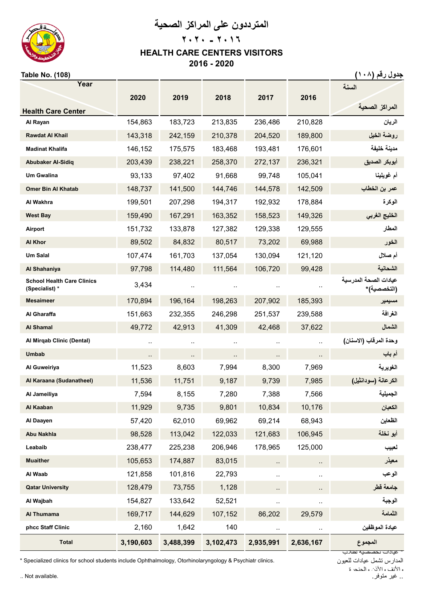

**المترددون على المراكز الصحية**

# **٢٠٢٠ - ٢٠١٦ HEALTH CARE CENTERS VISITORS 2016 - 2020**

### **جدول رقم (١٠٨) (108) .No Table**

| Year                                                |           |           |           |           |           | السنة                                 |
|-----------------------------------------------------|-----------|-----------|-----------|-----------|-----------|---------------------------------------|
|                                                     | 2020      | 2019      | 2018      | 2017      | 2016      |                                       |
| <b>Health Care Center</b>                           |           |           |           |           |           | المراكز الصحية                        |
| Al Rayan                                            | 154,863   | 183,723   | 213,835   | 236,486   | 210,828   | الريان                                |
| <b>Rawdat Al Khail</b>                              | 143,318   | 242,159   | 210,378   | 204,520   | 189,800   | روضة الخيل                            |
| <b>Madinat Khalifa</b>                              | 146,152   | 175,575   | 183,468   | 193,481   | 176,601   | مدينة خليفة                           |
| <b>Abubaker Al-Sidiq</b>                            | 203,439   | 238,221   | 258,370   | 272,137   | 236,321   | أبوبكر الصديق                         |
| <b>Um Gwalina</b>                                   | 93,133    | 97,402    | 91,668    | 99,748    | 105,041   | أم غويلينا                            |
| <b>Omer Bin Al Khatab</b>                           | 148,737   | 141,500   | 144,746   | 144,578   | 142,509   | عمر بن الخطاب                         |
| Al Wakhra                                           | 199,501   | 207,298   | 194,317   | 192,932   | 178,884   | الوكرة                                |
| <b>West Bay</b>                                     | 159,490   | 167,291   | 163,352   | 158,523   | 149,326   | الخليج الغربي                         |
| Airport                                             | 151,732   | 133,878   | 127,382   | 129,338   | 129,555   | المطار                                |
| Al Khor                                             | 89,502    | 84,832    | 80,517    | 73,202    | 69,988    | الخور                                 |
| <b>Um Salal</b>                                     | 107,474   | 161,703   | 137,054   | 130,094   | 121,120   | أم صلال                               |
| Al Shahaniya                                        | 97,798    | 114,480   | 111,564   | 106,720   | 99,428    | الشحانية                              |
| <b>School Health Care Clinics</b><br>(Specialist) * | 3,434     |           |           |           |           | عبادات الصحة المدر سبة<br>(التخصصية)* |
| <b>Mesaimeer</b>                                    | 170,894   | 196,164   | 198,263   | 207,902   | 185,393   | مسيمير                                |
| Al Gharaffa                                         | 151,663   | 232,355   | 246,298   | 251,537   | 239,588   | الغرافة                               |
| <b>Al Shamal</b>                                    | 49,772    | 42,913    | 41,309    | 42,468    | 37,622    | الشمال                                |
| Al Mirgab Clinic (Dental)                           | $\cdot$ . |           |           |           |           | وحدة المرقاب (الاسنان)                |
| <b>Umbab</b>                                        |           |           |           |           |           | أم باب                                |
| Al Guweiriya                                        | 11,523    | 8,603     | 7,994     | 8,300     | 7,969     | الغويرية                              |
| Al Karaana (Sudanatheel)                            | 11,536    | 11,751    | 9,187     | 9,739     | 7,985     | الكرعانة (سودانثيل)                   |
| Al Jameiliya                                        | 7,594     | 8,155     | 7,280     | 7,388     | 7,566     | الجميلية                              |
| Al Kaaban                                           | 11,929    | 9,735     | 9,801     | 10,834    | 10,176    | الكعبان                               |
| Al Daayen                                           | 57,420    | 62,010    | 69,962    | 69,214    | 68,943    | الظعاين                               |
| <b>Abu Nakhla</b>                                   | 98,528    | 113,042   | 122,033   | 121,683   | 106,945   | أبو نخلة                              |
| Leabaib                                             | 238,477   | 225,238   | 206,946   | 178,965   | 125,000   | لعبيب                                 |
| <b>Muaither</b>                                     | 105,653   | 174,887   | 83,015    | .,        |           | معيذر                                 |
| Al Waab                                             | 121,858   | 101,816   | 22,793    | .,        |           | الوعب                                 |
| <b>Qatar University</b>                             | 128,479   | 73,755    | 1,128     | ٠.        |           | جامعة قطر                             |
| Al Wajbah                                           | 154,827   | 133,642   | 52,521    |           | $\cdot$ . | الوجبة                                |
| Al Thumama                                          | 169,717   | 144,629   | 107,152   | 86,202    | 29,579    | الثمامة                               |
| phcc Staff Clinic                                   | 2,160     | 1,642     | 140       | ٠.        |           | عيادة الموظفين                        |
| <b>Total</b>                                        | 3,190,603 | 3,488,399 | 3,102,473 | 2,935,991 | 2,636,167 | المجموع                               |
|                                                     |           |           |           |           |           | عيادات تحصصيه لطلاب                   |

\* Specialized clinics for school students include Ophthalmology, Otorhinolaryngology & Psychiatr clinics.

المدارس تشمل عيادات للعيون ه الأنف ه الأذن والحنحرة<br>.. غير متوفر .. غير متوفر. .available Not ..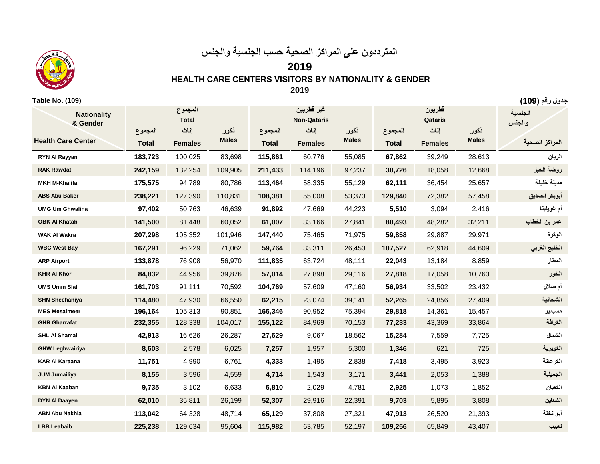

# **المترددون على المراكز الصحية حسب الجنسية والجنس**

**2019**

 **HEALTH CARE CENTERS VISITORS BY NATIONALITY & GENDER**

**2019**

#### **جدول رقم )109( (109) .No Table**

**ذكور إناث المجموع ذكور إناث المجموع ذكور إناث المجموع Males Total Females Males Total Females Males Total Females RYN Al Rayyan 183,723** 100,025 83,698 **115,861** 60,776 55,085 **67,862** 39,249 28,613 **الريان روضة الخيل** 12,668 18,058 **30,726** 97,237 114,196 **211,433** 109,905 132,254 **242,159 Rawdat RAK MKH M-Khalifa 175,575** 94,789 80,786 **113,464** 58,335 55,129 **62,111** 36,454 25,657 **خليفة مدينة ABS Abu Baker 238,221** 127,390 110,831 **108,381** 55,008 53,373 **129,840** 72,382 57,458 **الصديق أبوبكر UMG Um Ghwalina 97,402** 50,763 46,639 **91,892** 47,669 44,223 **5,510** 3,094 2,416 **غويلينا أم عمر بن الخطاب** 32,211 48,282 **80,493** 27,841 33,166 **61,007** 60,052 81,448 **141,500 Khatab Al OBK WAK Al Wakra 207,298** 105,352 101,946 **147,440** 75,465 71,975 **59,858** 29,887 29,971 **الوكرة WBC West Bay 167,291** 96,229 71,062 **59,764** 33,311 26,453 **107,527** 62,918 44,609 **الغربي الخليج ARP Airport 133,878** 76,908 56,970 **111,835** 63,724 48,111 **22,043** 13,184 8,859 **المطار KHR Al Khor 84,832** 44,956 39,876 **57,014** 27,898 29,116 **27,818** 17,058 10,760 **الخور UMS Umm Slal 161,703** 91,111 70,592 **104,769** 57,609 47,160 **56,934** 33,502 23,432 **صالل أم SHN Sheehaniya 114,480** 47,930 66,550 **62,215** 23,074 39,141 **52,265** 24,856 27,409 **الشحانية MES Mesaimeer 196,164** 105,313 90,851 **166,346** 90,952 75,394 **29,818** 14,361 15,457 **مسيمير GHR Gharrafat 232,355** 128,338 104,017 **155,122** 84,969 70,153 **77,233** 43,369 33,864 **الغرافة SHL Al Shamal 42,913** 16,626 26,287 **27,629** 9,067 18,562 **15,284** 7,559 7,725 **الشمال GHW Leghwairiya 8,603** 2,578 6,025 **7,257** 1,957 5,300 **1,346** 621 725 **الغويرية KAR Al Karaana 11,751** 4,990 6,761 **4,333** 1,495 2,838 **7,418** 3,495 3,923 **الكرعانة JUM Jumailiya 8,155** 3,596 4,559 **4,714** 1,543 3,171 **3,441** 2,053 1,388 **الجميلية KBN Al Kaaban 9,735** 3,102 6,633 **6,810** 2,029 4,781 **2,925** 1,073 1,852 **الكعبان DYN Al Daayen 62,010** 35,811 26,199 **52,307** 29,916 22,391 **9,703** 5,895 3,808 **الظعاين ABN Abu Nakhla 113,042** 64,328 48,714 **65,129** 37,808 27,321 **47,913** 26,520 21,393 **نخلة أبو Total Non-Qataris الجنسية والجنس المراكز الصحية Nationality & Gender Health Care Center قطريون Qataris غير قطريين المجموع**

**LBB Leabaib 225,238** 129,634 95,604 **115,982** 63,785 52,197 **109,256** 65,849 43,407 **لعبيب**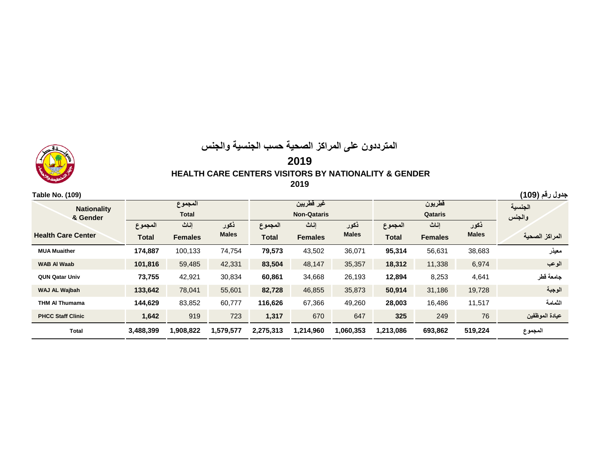## **المترددون على المراكز الصحية حسب الجنسية والجنس 2019 HEALTH CARE CENTERS VISITORS BY NATIONALITY & GENDER 2019**

| Table No. (109)                |                         |                |              |              |                                  |              |           |                   |                   | جدول رقم (109) |
|--------------------------------|-------------------------|----------------|--------------|--------------|----------------------------------|--------------|-----------|-------------------|-------------------|----------------|
| <b>Nationality</b><br>& Gender | المجموع<br><b>Total</b> |                |              |              | غير قطريين<br><b>Non-Qataris</b> |              |           | قطريون<br>Qataris | الجنسية<br>والجنس |                |
|                                | المجموع                 | إناث           | ذكور         | المجموع      | إناث                             | نكور         | المجموع   | اناث              | نكور              |                |
| <b>Health Care Center</b>      | <b>Total</b>            | <b>Females</b> | <b>Males</b> | <b>Total</b> | <b>Females</b>                   | <b>Males</b> | Total     | <b>Females</b>    | <b>Males</b>      | المراكز الصحية |
| <b>MUA Muaither</b>            | 174,887                 | 100,133        | 74,754       | 79,573       | 43,502                           | 36,071       | 95,314    | 56,631            | 38,683            | معيذر          |
| <b>WAB AI Waab</b>             | 101,816                 | 59,485         | 42,331       | 83,504       | 48,147                           | 35,357       | 18,312    | 11,338            | 6,974             | الوعب          |
| <b>QUN Qatar Univ</b>          | 73,755                  | 42,921         | 30,834       | 60,861       | 34,668                           | 26,193       | 12,894    | 8,253             | 4,641             | جامعة قطر      |
| WAJ AL Wajbah                  | 133,642                 | 78,041         | 55,601       | 82,728       | 46,855                           | 35,873       | 50,914    | 31,186            | 19,728            | الوجبة         |
| <b>THM AI Thumama</b>          | 144,629                 | 83,852         | 60,777       | 116,626      | 67,366                           | 49,260       | 28,003    | 16,486            | 11,517            | الثمامة        |
| <b>PHCC Staff Clinic</b>       | 1,642                   | 919            | 723          | 1,317        | 670                              | 647          | 325       | 249               | 76                | عيادة الموظفين |
| <b>Total</b>                   | 3,488,399               | 1,908,822      | 1,579,577    | 2,275,313    | 1,214,960                        | 1,060,353    | 1,213,086 | 693,862           | 519,224           | المجموع        |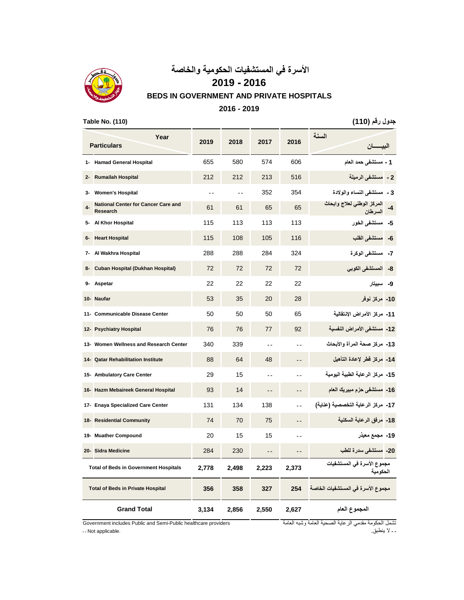

# **األسرة في المستشفيات الحكومية والخاصة**

**2019 - 2016**

#### **BEDS IN GOVERNMENT AND PRIVATE HOSPITALS**

#### **2016 - 2019**

**جدول رقم )110( (110) .No Table**

|        | Year<br><b>Particulars</b>                                    | 2019           | 2018          | 2017          | 2016          | السنة<br>الببسسان                      |
|--------|---------------------------------------------------------------|----------------|---------------|---------------|---------------|----------------------------------------|
|        | 1- Hamad General Hospital                                     | 655            | 580           | 574           | 606           | 1 - مستشفى حمد العام                   |
| $2 -$  | <b>Rumailah Hospital</b>                                      | 212            | 212           | 213           | 516           | مستشفى الرميلة<br>$-2$                 |
| 3-     | <b>Women's Hospital</b>                                       | $\overline{a}$ | $\sim$ $\sim$ | 352           | 354           | 3 ـ  مستشفى النساء والولادة            |
| 4-     | <b>National Center for Cancer Care and</b><br><b>Research</b> | 61             | 61            | 65            | 65            | المركز الوطني لعلاج وأبحاث<br>السرطان  |
| 5-     | Al Khor Hospital                                              | 115            | 113           | 113           | 113           | 5- مستشفى الخور                        |
| 6-     | <b>Heart Hospital</b>                                         | 115            | 108           | 105           | 116           | مستشفى الفلب<br>-6                     |
| 7-     | Al Wakhra Hospital                                            | 288            | 288           | 284           | 324           | مستشفى الوكرة<br>-7                    |
| 8-     | Cuban Hospital (Dukhan Hospital)                              | 72             | 72            | 72            | 72            | 8- المستشفى الكوبي                     |
| 9-     | Aspetar                                                       | 22             | 22            | 22            | 22            | سبيتار<br>-9                           |
| 10-    | <b>Naufar</b>                                                 | 53             | 35            | 20            | 28            | 10- مركز نوفر                          |
|        | 11- Communicable Disease Center                               | 50             | 50            | 50            | 65            | 11- مركز الأمراض الانتقالية            |
|        | 12- Psychiatry Hospital                                       | 76             | 76            | 77            | 92            | 12- مستشفى الأمراض النفسية             |
|        | 13- Women Wellness and Research Center                        | 340            | 339           | $\sim$ $\sim$ | $\sim$ $\sim$ | 13-  مركز صحة المرأة والأبحاث          |
| $14 -$ | <b>Qatar Rehabilitation Institute</b>                         | 88             | 64            | 48            |               | 14- مركز فطر لإعادة التأهيل            |
|        | 15- Ambulatory Care Center                                    | 29             | 15            | $\sim$ $\sim$ | $\sim$ $\sim$ | 15-  مركز  الرعاية الطبية اليومية      |
|        | 16- Hazm Mebaireek General Hospital                           | 93             | 14            |               |               | 16-  مستشفى حزم مبيريك العام           |
|        | 17- Enaya Specialized Care Center                             | 131            | 134           | 138           |               | 17-  مركز الرعاية التخصصية (عناية)     |
|        | 18- Residential Community                                     | 74             | 70            | 75            |               | 18-  مرفق الرعاية السكنية              |
| 19-    | <b>Muather Compound</b>                                       | 20             | 15            | 15            |               | 19- مجمع معيذر                         |
|        | 20- Sidra Medicine                                            | 284            | 230           | $ -$          | $ -$          | 20- مستشفى سدرة للطب                   |
|        | <b>Total of Beds in Government Hospitals</b>                  | 2,778          | 2,498         | 2,223         | 2,373         | مجموع الأسرة في المستشفيات<br>الحكومية |
|        | <b>Total of Beds in Private Hospital</b>                      | 356            | 358           | 327           | 254           | مجموع الأسرة في المستشفيات الخاصة      |
|        | <b>Grand Total</b>                                            | 3,134          | 2,856         | 2,550         | 2,627         | المجموع العام                          |

Government includes Public and Semi-Public healthcare providers تشمل الحكومة مقدمي الرعاية الصحية العامة وشبه العامة "<br>-- الا ينطبق. .<br>-- الا ينطبق.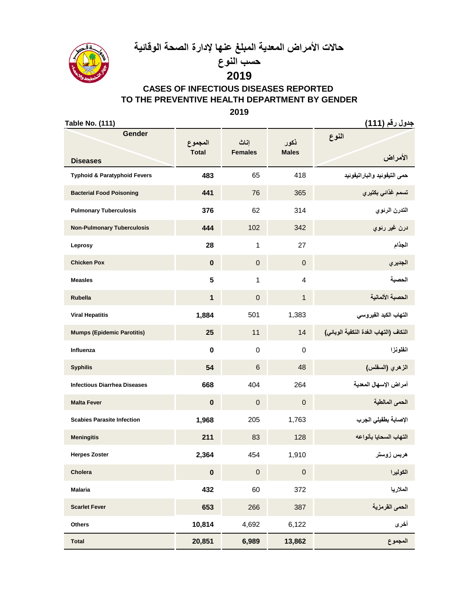**حاالت األمراض المعدية المبلغ عنها إلدارة الصحة الوقائية**



**حسب النوع 2019**

# **CASES OF INFECTIOUS DISEASES REPORTED TO THE PREVENTIVE HEALTH DEPARTMENT BY GENDER**

**2019**

**جدول رقم )111( (111) .No Table**

| Gender                                  | المجموع      | إناث           | نكور           | النوع                                 |
|-----------------------------------------|--------------|----------------|----------------|---------------------------------------|
| <b>Diseases</b>                         | <b>Total</b> | <b>Females</b> | <b>Males</b>   | الأمراض                               |
| <b>Typhoid &amp; Paratyphoid Fevers</b> | 483          | 65             | 418            | حمى التيفونيد والباراتيفونيد          |
| <b>Bacterial Food Poisoning</b>         | 441          | 76             | 365            | تسمم غذائي بكتيري                     |
| <b>Pulmonary Tuberculosis</b>           | 376          | 62             | 314            | التدرن الرنوي                         |
| <b>Non-Pulmonary Tuberculosis</b>       | 444          | 102            | 342            | درن غير رئوي                          |
| Leprosy                                 | 28           | 1              | 27             | الجذام                                |
| <b>Chicken Pox</b>                      | $\bf{0}$     | $\overline{0}$ | $\mathbf{0}$   | الجديري                               |
| <b>Measles</b>                          | 5            | 1              | $\overline{4}$ | الحصبة                                |
| <b>Rubella</b>                          | $\mathbf{1}$ | $\mathbf 0$    | $\mathbf{1}$   | الحصبة الألمانية                      |
| <b>Viral Hepatitis</b>                  | 1,884        | 501            | 1,383          | التهاب الكبد الفيروسي                 |
| <b>Mumps (Epidemic Parotitis)</b>       | 25           | 11             | 14             | النكاف (التهاب الغدة النكفية الوبائي) |
| Influenza                               | $\bf{0}$     | $\mathbf 0$    | $\mathbf 0$    | انظونزا                               |
| <b>Syphilis</b>                         | 54           | 6              | 48             | الزهري (السفلس)                       |
| <b>Infectious Diarrhea Diseases</b>     | 668          | 404            | 264            | أمراض الإسهال المعدية                 |
| <b>Malta Fever</b>                      | $\bf{0}$     | $\overline{0}$ | $\overline{0}$ | الحمى المالطية                        |
| <b>Scabies Parasite Infection</b>       | 1,968        | 205            | 1,763          | الإصابة بطفيلي الجرب                  |
| <b>Meningitis</b>                       | 211          | 83             | 128            | التهاب السحايا بأنواعه                |
| <b>Herpes Zoster</b>                    | 2,364        | 454            | 1,910          | هربس زوستر                            |
| Cholera                                 | $\bf{0}$     | $\pmb{0}$      | 0              | الكوليرا                              |
| <b>Malaria</b>                          | 432          | 60             | 372            | الملاريا                              |
| <b>Scarlet Fever</b>                    | 653          | 266            | 387            | الحمى الفرمزية                        |
| <b>Others</b>                           | 10,814       | 4,692          | 6,122          | أخرى                                  |
| <b>Total</b>                            | 20,851       | 6,989          | 13,862         | المجموع                               |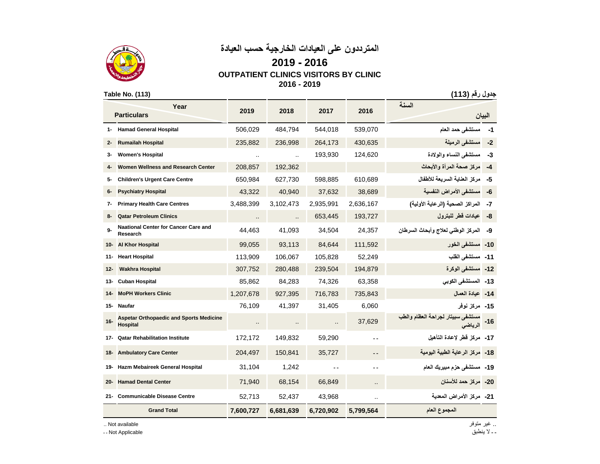



### **2019 - 2016 OUTPATIENT CLINICS VISITORS BY CLINIC 2016 - 2019**

**جدول رقم )113( (113) .No Table**

|        | Year<br><b>Particulars</b>                                        | 2019                 | 2018                 | 2017      | 2016                 | السنة                                        | البيان    |
|--------|-------------------------------------------------------------------|----------------------|----------------------|-----------|----------------------|----------------------------------------------|-----------|
| 1-     | <b>Hamad General Hospital</b>                                     | 506,029              | 484,794              | 544,018   | 539,070              | مستشفى حمد العام                             | -1        |
| $2 -$  | <b>Rumailah Hospital</b>                                          | 235,882              | 236,998              | 264,173   | 430,635              | مستشفى الرميلة                               | $-2$      |
| з-     | <b>Women's Hospital</b>                                           | $\ddot{\phantom{a}}$ | $\ddot{\phantom{a}}$ | 193,930   | 124,620              | مستشفى النساء والولادة                       | -3        |
|        | Women Wellness and Research Center                                | 208,857              | 192,362              |           |                      | مركز صحة المرأة والأبحاث                     | $-4$      |
| 5-     | <b>Children's Urgent Care Centre</b>                              | 650,984              | 627,730              | 598,885   | 610,689              | مركز العناية السريعة للأطفال                 | -5        |
| 6-     | <b>Psychiatry Hospital</b>                                        | 43,322               | 40,940               | 37,632    | 38,689               | مستشفى الأمراض النفسية                       | -6        |
| 7-     | <b>Primary Health Care Centres</b>                                | 3,488,399            | 3,102,473            | 2,935,991 | 2,636,167            | المراكز الصحية (الرعاية الأولية)             | -7        |
| 8-     | <b>Qatar Petroleum Clinics</b>                                    | $\cdot$ .            | $\ddotsc$            | 653,445   | 193,727              | عبادات فطر للبترول                           | -8        |
| $9-$   | <b>Naational Center for Cancer Care and</b><br>Research           | 44,463               | 41,093               | 34,504    | 24,357               | المركز الوطني لعلاج وأبحاث السرطان           | -9        |
| 10-    | <b>Al Khor Hospital</b>                                           | 99,055               | 93,113               | 84,644    | 111,592              | 10- مستشفى الخور                             |           |
| 11-    | <b>Heart Hospital</b>                                             | 113,909              | 106,067              | 105,828   | 52,249               | 11- مستشفى القلب                             |           |
| $12 -$ | <b>Wakhra Hospital</b>                                            | 307,752              | 280,488              | 239,504   | 194,879              | 12- مستشفى الوكرة                            |           |
| 13-    | <b>Cuban Hospital</b>                                             | 85,862               | 84,283               | 74,326    | 63,358               | 13- المستشفى الكوبي                          |           |
| 14-    | <b>MoPH Workers Clinic</b>                                        | 1,207,678            | 927,395              | 716,783   | 735,843              | 14- عيادة العمال                             |           |
| 15-    | Naufar                                                            | 76,109               | 41,397               | 31,405    | 6,060                | 15- مركز نوفر                                |           |
| $16 -$ | <b>Aspetar Orthopaedic and Sports Medicine</b><br><b>Hospital</b> |                      |                      |           | 37,629               | مستشفى سبيتار لجراحة العظام والطب<br>الرياضى | $-16$     |
| 17-    | <b>Qatar Rehabilitation Institute</b>                             | 172,172              | 149,832              | 59,290    |                      | 17- مركز فطر لإعادة التأهيل                  |           |
| 18-    | <b>Ambulatory Care Center</b>                                     | 204,497              | 150,841              | 35,727    |                      | مركز الرعاية الطبية اليومية                  | -18       |
| 19-    | Hazm Mebaireek General Hospital                                   | 31,104               | 1,242                | $ -$      |                      | 19- مستشفى حزم مبيريك العام                  |           |
| 20-    | <b>Hamad Dental Center</b>                                        | 71,940               | 68,154               | 66,849    | $\ddot{\phantom{a}}$ | مركز حمد للأسنان                             | -20       |
| 21-    | <b>Communicable Disease Centre</b>                                | 52,713               | 52,437               | 43,968    | ٠.                   | 21- مركز الأمراض المعدية                     |           |
|        | <b>Grand Total</b>                                                | 7,600,727            | 6,681,639            | 6,720,902 | 5,799,564            | المجموع العام                                |           |
|        | Not available                                                     |                      |                      |           |                      |                                              | غیر متوفر |

ـ ـ ال ينطبق Applicable Not ـ ـ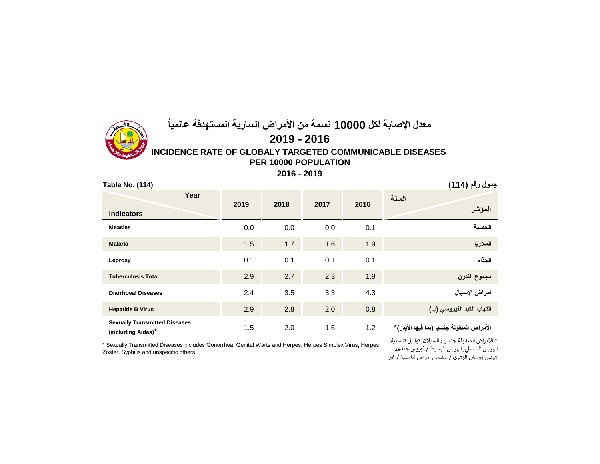

**2016 - 2019**

| <b>Table No. (114)</b>                                     |      |      |      |      | جدول رقم (114)                            |
|------------------------------------------------------------|------|------|------|------|-------------------------------------------|
| Year<br><b>Indicators</b>                                  | 2019 | 2018 | 2017 | 2016 | السنة<br>المؤشر                           |
| <b>Measles</b>                                             | 0.0  | 0.0  | 0.0  | 0.1  | الحصبة                                    |
| <b>Malaria</b>                                             | 1.5  | 1.7  | 1.6  | 1.9  | الملاريا                                  |
| Leprosy                                                    | 0.1  | 0.1  | 0.1  | 0.1  | الجذام                                    |
| <b>Tuberculosis Total</b>                                  | 2.9  | 2.7  | 2.3  | 1.9  | مجموع التدرن                              |
| <b>Diarrhoeal Diseases</b>                                 | 2.4  | 3.5  | 3.3  | 4.3  | أمراض الإسهال                             |
| <b>Hepatitis B Virus</b>                                   | 2.9  | 2.8  | 2.0  | 0.8  | التهاب الكبد الفيروسي (ب)                 |
| <b>Sexually Transmitted Diseases</b><br>(including Aides)* | 1.5  | 2.0  | 1.6  | 1.2  | الأمراض المنقولة جنسيا (بما فيها الأيدز)* |

\* Sexually Transmitted Diseases includes Gonorrhea, Genital Warts and Herpes, Herpes Simplex Virus, Herpes Zoster, Syphilis and unspecific others.

\* األمراض المنقولة جنسيا : السيالن, تواليل تناسلية,

الهربس التناسلي, الهربس البسيط / فيروس جلدي, هربس زوسي, الزهري / سفلس, امراض تناسلية / غري <sup>ر</sup>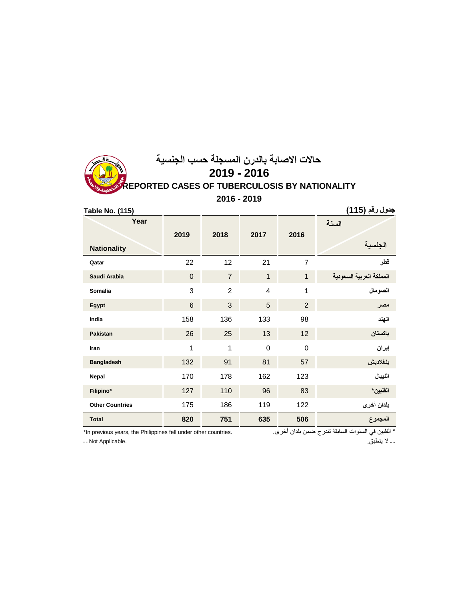## **حاالت االصابة بالدرن المسجلة حسب الجنسية REPORTED CASES OF TUBERCULOSIS BY NATIONALITY 2019 - 2016 2016 - 2019**

| <b>Table No. (115)</b> |                |                |                |                | جدول رقم (115 <b>)</b>   |
|------------------------|----------------|----------------|----------------|----------------|--------------------------|
| Year                   |                |                |                | السنة          |                          |
| <b>Nationality</b>     | 2019           | 2018           | 2017           | 2016           | جنسبه                    |
| Qatar                  | 22             | 12             | 21             | $\overline{7}$ | قطر                      |
| Saudi Arabia           | $\overline{0}$ | $\overline{7}$ | $\mathbf{1}$   | $\mathbf{1}$   | المملكة العربية السعودية |
| Somalia                | 3              | $\overline{2}$ | $\overline{4}$ | 1              | الصومال                  |
| Egypt                  | 6              | 3              | 5              | $\overline{2}$ | مصر                      |
| India                  | 158            | 136            | 133            | 98             | المهند                   |
| Pakistan               | 26             | 25             | 13             | 12             | باكستان                  |
| Iran                   | 1              | 1              | $\overline{0}$ | $\overline{0}$ | إيران                    |
| <b>Bangladesh</b>      | 132            | 91             | 81             | 57             | بنغلاديش                 |
| Nepal                  | 170            | 178            | 162            | 123            | النيبال                  |
| Filipino*              | 127            | 110            | 96             | 83             | الفلبين*                 |
| <b>Other Countries</b> | 175            | 186            | 119            | 122            | بلدان أخرى               |
| <b>Total</b>           | 820            | 751            | 635            | 506            | المجموع                  |

\* الفلبين في السنوات السابقة تندرج ضمن بلدان أخرى. .<br>\* الفلبين في السنوات السابقة تندرج ضمن بلدان أخرى .

ـ ـ ال ينطبق. .Applicable Not ـ ـ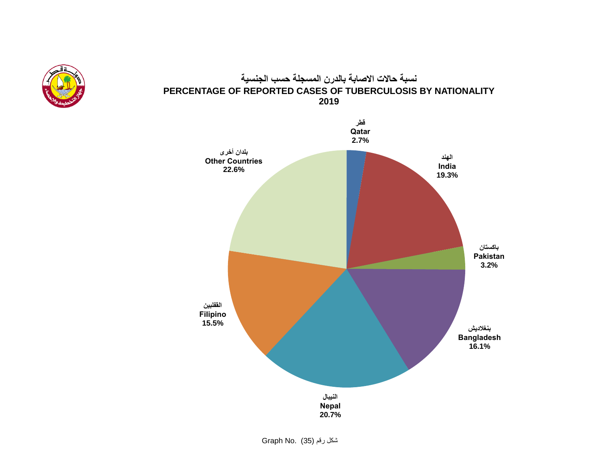

## **نسبة حاالت االصابة بالدرن المسجلة حسب الجنسية PERCENTAGE OF REPORTED CASES OF TUBERCULOSIS BY NATIONALITY 2019**



شكل رقم (35) .No Graph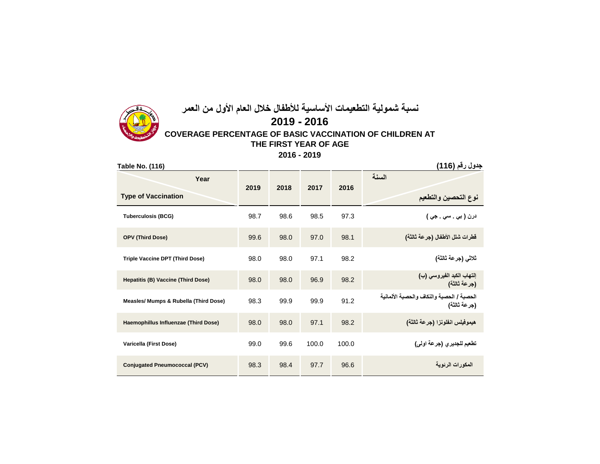# **نسبة شمولية التطعيمات األساسية لألطفال خالل العام األول من العمر 2019 - 2016**



**جدول رقم (116)** . (116) . (116) . (116) . (116) . (116) . (116) . (116) . (116) . (116) . (116) . (116) . (116 **درن ) بي . سي . جي (** 97.3 98.5 98.6 98.7 **(BCG (Tuberculosis قطرات شلل األطفال )جرعة ثالثة(** 98.1 97.0 98.0 99.6 **(Dose Third (OPV Triple Vaccine DPT (Third Dose)** 98.0 98.0 97.1 98.2 **)ثالثة جرعة )ثالثي إلتهاب الكبد الفيروسي )ب( )جرعة ثالثة( Hepatitis (B) Vaccine (Third Dose)** 98.0 98.0 96.9 98.2 **الحصبة / الحصبة والنكاف والحصبة األلمانية )جرعة ثالثة( Measles/ Mumps & Rubella (Third Dose)** 98.3 99.9 99.9 91.2 **هيموفيلس انفلونزا )جرعة ثالثة(** 98.2 97.1 98.0 98.0 **(Dose Third (Influenzae Haemophillus تطعيم للجديري )جرعة اولى(** 100.0 100.0 99.6 99.0 **(Dose First (Varicella Conjugated Pneumococcal (PCV)** 98.3 98.4 97.7 96.6 **الرئوية المكورات السنة نوع التحصين والتطعيم Year Type of Vaccination 2019 2018 2017 2016**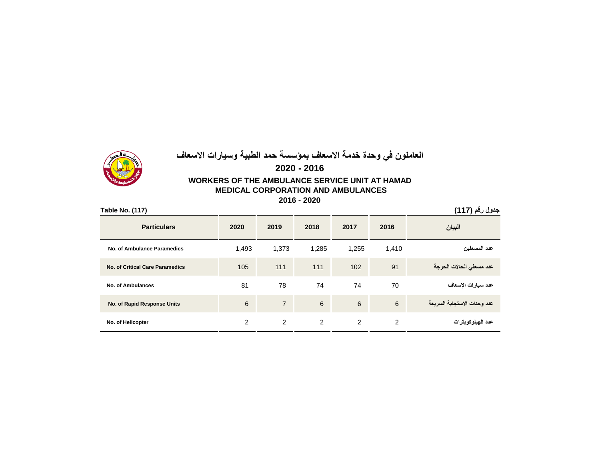# **العاملون في وحدة خدمة االسعاف بمؤسسة حمد الطبية وسيارات االسعاف**

## **WORKERS OF THE AMBULANCE SERVICE UNIT AT HAMAD MEDICAL CORPORATION AND AMBULANCES 2020 - 2016**

**2016 - 2020**

| Table No. (117)                        |       |                |       |                 |       | جدول رقم (117)              |
|----------------------------------------|-------|----------------|-------|-----------------|-------|-----------------------------|
| <b>Particulars</b>                     | 2020  | 2019           | 2018  | 2017            | 2016  | البيان                      |
| No. of Ambulance Paramedics            | 1,493 | 1,373          | 1,285 | 1,255           | 1,410 | عدد المسعفين                |
| <b>No. of Critical Care Paramedics</b> | 105   | 111            | 111   | 102             | 91    | عدد مسعفى الحالات الحرجة    |
| No. of Ambulances                      | 81    | 78             | 74    | 74              | 70    | عدد سيارات الإسعاف          |
| No. of Rapid Response Units            | 6     | $\overline{7}$ | 6     | $6\phantom{1}6$ | 6     | عدد وحدات الاستجابة السريعة |
| No. of Helicopter                      | 2     | 2              | 2     | 2               | 2     | عدد الهيلوكوبترات           |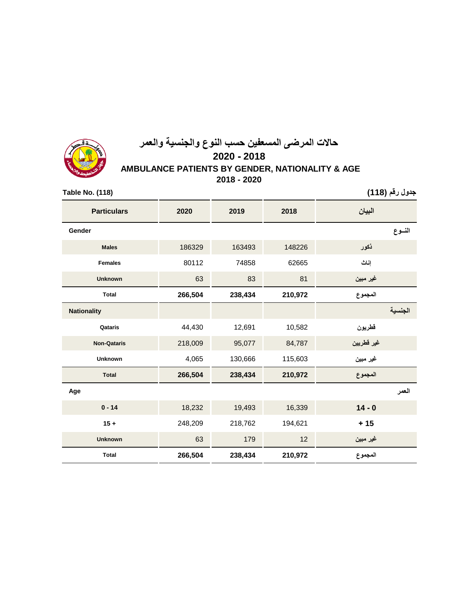

## **حاالت المرضى المسعفين حسب النوع والجنسية والعمر AMBULANCE PATIENTS BY GENDER, NATIONALITY & AGE 2020 - 2018 2018 - 2020**

**جدول رقم )118( (118) .No Table البيان 2018 2019 2020 Particulars النــوع Gender ذكور** 148226 163493 186329 **Males إناث** 62665 74858 80112 **Females غير مبين** 81 83 63 **Unknown المجموع 210,972 238,434 266,504 Total الجنسية Nationality قطريون** 10,582 12,691 44,430 **Qataris غير قطريين** 84,787 95,077 218,009 **Qataris-Non غير مبين** 115,603 130,666 4,065 **Unknown المجموع 210,972 238,434 266,504 Total العمر Age 0 - 14** 18,232 19,493 16,339 **14 - 0 15 +** 248,209 218,762 194,621 **+ 15 غير مبين** 12 179 63 **Unknown المجموع 210,972 238,434 266,504 Total**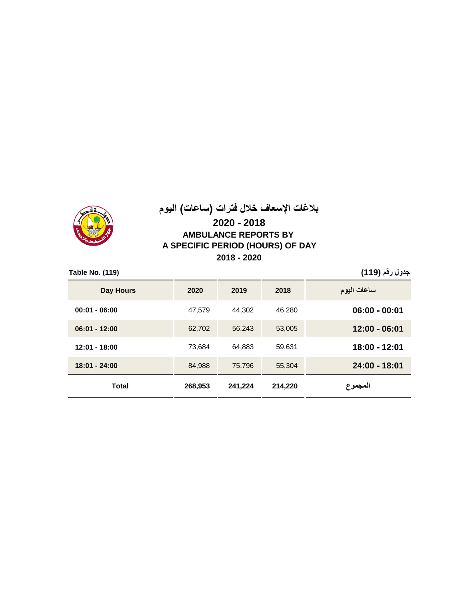

# **بالغات اإلسعاف خالل فترات )ساعات( اليوم**

### **2020 - 2018 AMBULANCE REPORTS BY A SPECIFIC PERIOD (HOURS) OF DAY 2018 - 2020**

| Table No. (119) |         |         |         | جدول رقم (119)  |
|-----------------|---------|---------|---------|-----------------|
| Day Hours       | 2020    | 2019    | 2018    | ساعات اليوم     |
| $00:01 - 06:00$ | 47,579  | 44.302  | 46.280  | $06:00 - 00:01$ |
| $06:01 - 12:00$ | 62,702  | 56.243  | 53,005  | 12:00 - 06:01   |
| $12:01 - 18:00$ | 73.684  | 64,883  | 59,631  | 18:00 - 12:01   |
| 18:01 - 24:00   | 84,988  | 75,796  | 55.304  | 24:00 - 18:01   |
| <b>Total</b>    | 268,953 | 241,224 | 214,220 | المجموع         |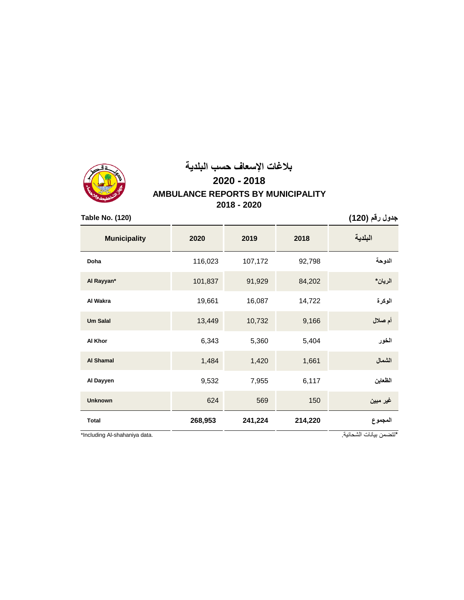

# **بالغات اإلسعاف حسب البلدية AMBULANCE REPORTS BY MUNICIPALITY 2018 - 2020 2020 - 2018**

**جدول رقم )120( (120) .No Table**

| <b>Municipality</b>           | 2020    | 2019    | 2018    | البلدية                 |
|-------------------------------|---------|---------|---------|-------------------------|
| Doha                          | 116,023 | 107,172 | 92,798  | الدوحة                  |
| Al Rayyan*                    | 101,837 | 91,929  | 84,202  | الريان*                 |
| Al Wakra                      | 19,661  | 16,087  | 14,722  | الوكرة                  |
| <b>Um Salal</b>               | 13,449  | 10,732  | 9,166   | أم صلال                 |
| Al Khor                       | 6,343   | 5,360   | 5,404   | الخور                   |
| <b>Al Shamal</b>              | 1,484   | 1,420   | 1,661   | الشمال                  |
| Al Dayyen                     | 9,532   | 7,955   | 6,117   | الظعاين                 |
| <b>Unknown</b>                | 624     | 569     | 150     | غير مبين                |
| <b>Total</b>                  | 268,953 | 241,224 | 214,220 | المجموع                 |
| *Including Al-shahaniya data. |         |         |         | *تتضمن بيانات الشحانية. |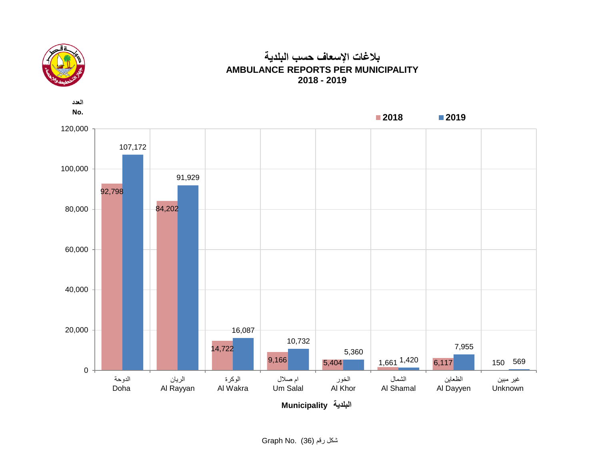

## **بالغات اإلسعاف حسب البلدية AMBULANCE REPORTS PER MUNICIPALITY 2018 - 2019**

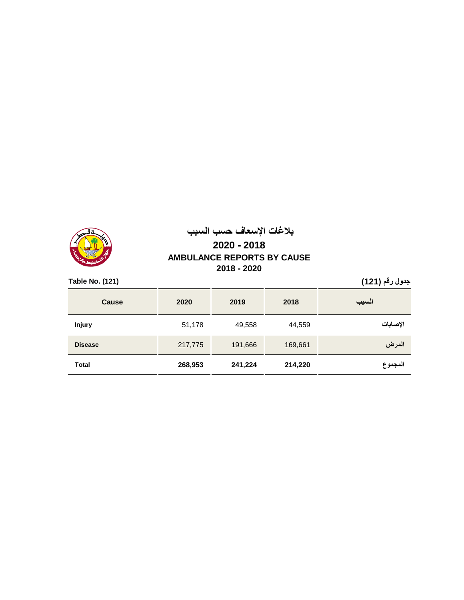

# **بالغات اإلسعاف حسب السبب AMBULANCE REPORTS BY CAUSE 2018 - 2020 2020 - 2018**

**جدول رقم )121( (121) .No Table**

| <b>Cause</b>   | 2020    | 2019    | 2018    | السبب    |
|----------------|---------|---------|---------|----------|
| <b>Injury</b>  | 51,178  | 49,558  | 44,559  | الإصابات |
| <b>Disease</b> | 217,775 | 191,666 | 169,661 | المرض    |
| <b>Total</b>   | 268,953 | 241,224 | 214,220 | المجموع  |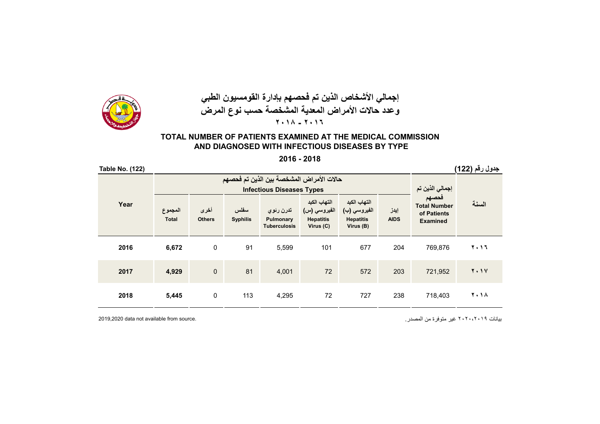

## **إجمالي األشخاص الذين تم فحصھم بإدارة القومسيون الطبي وعدد حاالت األمراض المعدية المشخصة حسب نوع المرض ٢٠١٨ - ٢٠١٦**

### **TOTAL NUMBER OF PATIENTS EXAMINED AT THE MEDICAL COMMISSION AND DIAGNOSED WITH INFECTIOUS DISEASES BY TYPE**

#### **2016 - 2018**

| <b>Table No. (122)</b>                                                       |                         |                       |                         |                                               |                                                               |                                                               |                     |                                                                | جدول رقم (122) |
|------------------------------------------------------------------------------|-------------------------|-----------------------|-------------------------|-----------------------------------------------|---------------------------------------------------------------|---------------------------------------------------------------|---------------------|----------------------------------------------------------------|----------------|
| حالات الأمراض المشخصة بين الذين تم فحصهم<br><b>Infectious Diseases Types</b> |                         |                       |                         |                                               |                                                               |                                                               |                     | إجمالي الذين تم                                                |                |
| Year                                                                         | المجموع<br><b>Total</b> | أخرى<br><b>Others</b> | سفلس<br><b>Syphilis</b> | تدرن رئوي<br>Pulmonary<br><b>Tuberculosis</b> | التهاب الكبد<br>الفيروسي (س)<br><b>Hepatitis</b><br>Virus (C) | التهاب الكبد<br>الفيروسي (ب)<br><b>Hepatitis</b><br>Virus (B) | إيدز<br><b>AIDS</b> | فحصهم<br><b>Total Number</b><br>of Patients<br><b>Examined</b> | السنة          |
| 2016                                                                         | 6,672                   | 0                     | 91                      | 5,599                                         | 101                                                           | 677                                                           | 204                 | 769.876                                                        | 2.17           |
| 2017                                                                         | 4,929                   | $\mathbf 0$           | 81                      | 4,001                                         | 72                                                            | 572                                                           | 203                 | 721,952                                                        | <b>7.1V</b>    |
| 2018                                                                         | 5,445                   | 0                     | 113                     | 4,295                                         | 72                                                            | 727                                                           | 238                 | 718,403                                                        | <b>7.14</b>    |

بيانات ٢٠٢٠،٢٠١٩ غير متوفرة من المصدر. .source from available not data 2019,2020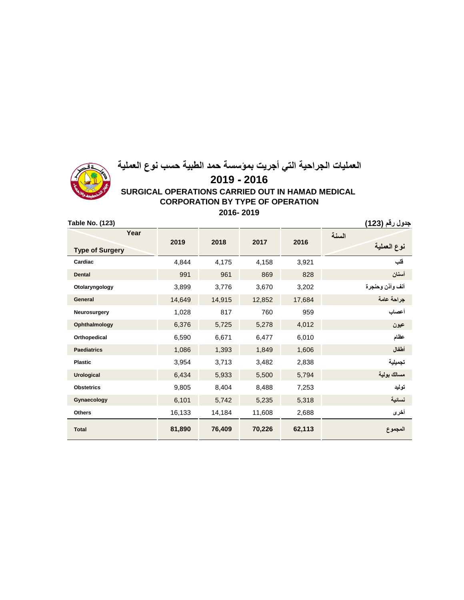

## **العمليات الجراحية التي أجريت بمؤسسة حمد الطبية حسب نوع العملية 2019 - 2016 SURGICAL OPERATIONS CARRIED OUT IN HAMAD MEDICAL CORPORATION BY TYPE OF OPERATION 2016- 2019**

**جدول رقم )123( (123) .No Table**

| Year                   | 2019   | 2018   | 2017   | 2016   | السنة           |
|------------------------|--------|--------|--------|--------|-----------------|
| <b>Type of Surgery</b> |        |        |        |        | نوع العملية     |
| Cardiac                | 4,844  | 4,175  | 4,158  | 3,921  | فلب             |
| <b>Dental</b>          | 991    | 961    | 869    | 828    | أسنان           |
| Otolaryngology         | 3,899  | 3,776  | 3,670  | 3,202  | أنف وأذن وحنجرة |
| General                | 14,649 | 14,915 | 12,852 | 17,684 | جراحة عامة      |
| Neurosurgery           | 1,028  | 817    | 760    | 959    | أعصاب           |
| Ophthalmology          | 6,376  | 5,725  | 5,278  | 4,012  | عيون            |
| Orthopedical           | 6,590  | 6,671  | 6,477  | 6,010  | عظام            |
| <b>Paediatrics</b>     | 1,086  | 1,393  | 1,849  | 1,606  | أطفال           |
| <b>Plastic</b>         | 3,954  | 3,713  | 3,482  | 2,838  | تجميلية         |
| <b>Urological</b>      | 6,434  | 5,933  | 5,500  | 5,794  | مسالك بولية     |
| <b>Obstetrics</b>      | 9,805  | 8,404  | 8,488  | 7,253  | توليد           |
| Gynaecology            | 6,101  | 5,742  | 5,235  | 5,318  | نسائية          |
| <b>Others</b>          | 16,133 | 14,184 | 11,608 | 2,688  | أخرى            |
| <b>Total</b>           | 81,890 | 76,409 | 70,226 | 62,113 | المجموع         |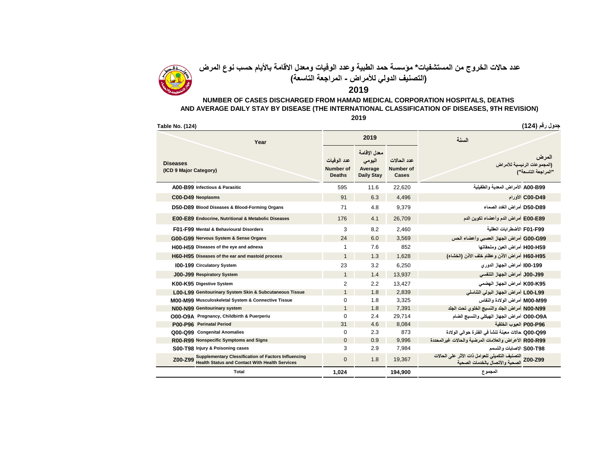

**عدد حاالت الخروج من المستشفيات\* مؤسسة حمد الطبية وعدد الوفيات ومعدل االقامة باأليام حسب نوع المرض )التصنيف الدولي لألمراض - المراجعة التاسعة(**

#### **2019**

#### **NUMBER OF CASES DISCHARGED FROM HAMAD MEDICAL CORPORATION HOSPITALS, DEATHS AND AVERAGE DAILY STAY BY DISEASE (THE INTERNATIONAL CLASSIFICATION OF DISEASES, 9TH REVISION)**

| Table No. (124)                           |                                                                                                                     |                                                  |                                                        |                                          | جدول رقم (124)                                                                            |
|-------------------------------------------|---------------------------------------------------------------------------------------------------------------------|--------------------------------------------------|--------------------------------------------------------|------------------------------------------|-------------------------------------------------------------------------------------------|
|                                           | Year                                                                                                                |                                                  | 2019                                                   |                                          | السنة                                                                                     |
| <b>Diseases</b><br>(ICD 9 Major Category) |                                                                                                                     | عدد الوفيات<br><b>Number of</b><br><b>Deaths</b> | معدل الإقامة<br>اليومي<br>Average<br><b>Daily Stay</b> | عدد الحالات<br><b>Number of</b><br>Cases | المرض<br>(المجموعات الرئيسية للأمراض<br>"المراجعة التاسعة")                               |
|                                           | A00-B99 Infectious & Parasitic                                                                                      | 595                                              | 11.6                                                   | 22.620                                   | A00-B99 الأمر اض المعدية والطفيلية                                                        |
|                                           | C00-D49 Neoplasms                                                                                                   | 91                                               | 6.3                                                    | 4.496                                    | C00-D49 الأورام                                                                           |
|                                           | D50-D89 Blood Diseases & Blood-Forming Organs                                                                       | 71                                               | 4.8                                                    | 9,379                                    | D50-D89 أمر اض الغدد الصماء                                                               |
|                                           | E00-E89 Endocrine, Nutritional & Metabolic Diseases                                                                 | 176                                              | 4.1                                                    | 26,709                                   | E00-E89 أمراض الدم وأعضاء تكوين الدم                                                      |
|                                           | F01-F99 Mental & Behavioural Disorders                                                                              | 3                                                | 8.2                                                    | 2,460                                    | F01-F99 الأضطر ابات العقلبة                                                               |
|                                           | G00-G99 Nervous System & Sense Organs                                                                               | 24                                               | 6.0                                                    | 3,569                                    | G00-G99 أمراض الجهاز العصبي وأعضاء الحس                                                   |
|                                           | H00-H59 Diseases of the eye and adnexa                                                                              | 1                                                | 7.6                                                    | 852                                      | H00-H59 أمراض العين وملحقاتها                                                             |
|                                           | H60-H95 Diseases of the ear and mastoid process                                                                     | $\mathbf{1}$                                     | 1.3                                                    | 1.628                                    | H60-H95 أمراض الأنن وعظام خلف الأنن (الخشاء)                                              |
|                                           | <b>100-199 Circulatory System</b>                                                                                   | 23                                               | 3.2                                                    | 6,250                                    | 199-100 أمراض الجهاز الدوري                                                               |
|                                           | J00-J99 Respiratory System                                                                                          | $\mathbf{1}$                                     | 1.4                                                    | 13,937                                   | J00-J99 أمراض الجهاز التنفسي                                                              |
|                                           | K00-K95 Digestive System                                                                                            | 2                                                | 2.2                                                    | 13,427                                   | K00-K95 أمراض الجهاز الهضمي                                                               |
|                                           | L00-L99 Genitourinary System Skin & Subcutaneous Tissue                                                             | $\mathbf{1}$                                     | 1.8                                                    | 2,839                                    | LOO-L99 أمراض الجهاز البولي التناسلي                                                      |
|                                           | M00-M99 Musculoskeletal System & Connective Tissue                                                                  | 0                                                | 1.8                                                    | 3.325                                    | M00-M99 أمراض الولادة والنفاس                                                             |
|                                           | N00-N99 Genitourinary system                                                                                        | $\mathbf{1}$                                     | 1.8                                                    | 7,391                                    | NOO-N99 أمراض الجلد والنسبج الخلوي تحت الجلد                                              |
|                                           | O00-O9A Pregnancy, Childbirth & Puerperiu                                                                           | 0                                                | 2.4                                                    | 29,714                                   | O00-O9A أمراض الجهاز الهيكلي والنسيج الضام                                                |
|                                           | P00-P96 Perinatal Period                                                                                            | 31                                               | 4.6                                                    | 8,084                                    | P00-P96 العيوب الخلقية                                                                    |
|                                           | Q00-Q99 Congenital Anomalies                                                                                        | $\Omega$                                         | 2.3                                                    | 873                                      | Q00-Q99 حالات معينة تنشأ في الفترة حوالي الولادة                                          |
|                                           | R00-R99 Nonspecific Symptoms and Signs                                                                              | $\Omega$                                         | 0.9                                                    | 9.996                                    | R00-R99 الأعراض والعلامات المرضية والحالات غير المحددة                                    |
|                                           | S00-T98 Injury & Poisoning cases                                                                                    | 3                                                | 2.9                                                    | 7,984                                    | S00-T98 الاصابات والتسمم                                                                  |
| Z00-Z99                                   | <b>Supplementary Clessification of Factors Influencing</b><br><b>Health Status and Contact With Health Services</b> | $\Omega$                                         | 1.8                                                    | 19,367                                   | النصنيف النكميلي للعوامل ذات الأثر على الحالات<br>Z00-Z99 الصحية والأتصال بالخدمات الصحية |
|                                           | <b>Total</b>                                                                                                        | 1,024                                            |                                                        | 194,900                                  | المجموع                                                                                   |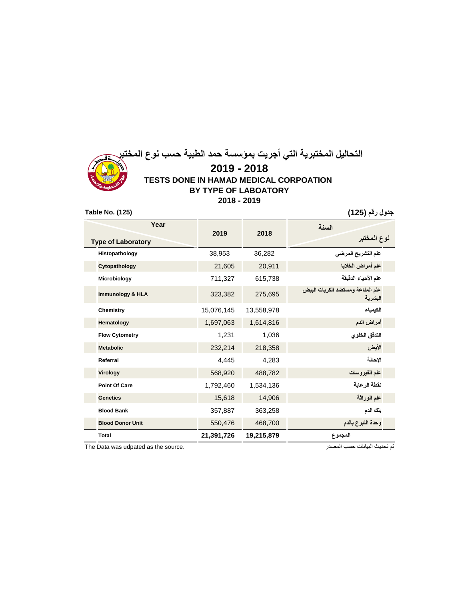## **التحاليل المختبرية التي أجريت بمؤسسة حمد الطبية حسب نوع المختبر 2019 - 2018 TESTS DONE IN HAMAD MEDICAL CORPOATION BY TYPE OF LABOATORY 2018 - 2019 جدول رقم )125( (125) .No Table**

| Year                        |            |            | السنة                                        |  |  |
|-----------------------------|------------|------------|----------------------------------------------|--|--|
| <b>Type of Laboratory</b>   | 2019       | 2018       | نوع المختبر                                  |  |  |
| Histopathology              | 38,953     | 36,282     | علم التشريح المرضي                           |  |  |
| Cytopathology               | 21,605     | 20,911     | علم أمراض الخلايا                            |  |  |
| Microbiology                | 711,327    | 615,738    | علم الأحياء الدقيقة                          |  |  |
| <b>Immunology &amp; HLA</b> | 323,382    | 275,695    | علم المناعة ومستضد الكريات البيض<br>البشر بة |  |  |
| Chemistry                   | 15,076,145 | 13,558,978 | الكيمياء                                     |  |  |
| Hematology                  | 1,697,063  | 1,614,816  | أمراض الدم                                   |  |  |
| <b>Flow Cytometry</b>       | 1,231      | 1,036      | التدفق الخلوي                                |  |  |
| <b>Metabolic</b>            | 232,214    | 218,358    | الأيض                                        |  |  |
| Referral                    | 4,445      | 4,283      | الاحالة                                      |  |  |
| Virology                    | 568,920    | 488,782    | علم الفيروسات                                |  |  |
| <b>Point Of Care</b>        | 1,792,460  | 1,534,136  | نفطة الرعاية                                 |  |  |
| <b>Genetics</b>             | 15,618     | 14,906     | علم الوراثة                                  |  |  |
| <b>Blood Bank</b>           | 357,887    | 363,258    | بنك الدم                                     |  |  |
| <b>Blood Donor Unit</b>     | 550,476    | 468,700    | وحدة التبرع بالدم                            |  |  |
| <b>Total</b>                | 21,391,726 | 19,215,879 | المجموع                                      |  |  |

The Data was udpated as the source. المصدر حسب البيانات تحديث تم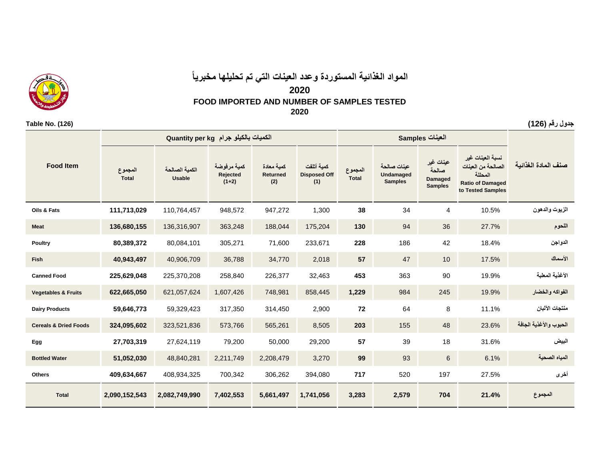## **المواد الغذائية المستوردة وعدد العينات التي تم تحليلها مخبرياً**

### **2020**

### **FOOD IMPORTED AND NUMBER OF SAMPLES TESTED**

**2020**

|                                  |                         | الكميات بالكيلو جرام Quantity per kg |                                    |                               |                                          |                         | العينات Samples                            |                                                        |                                                                                                   |                        |
|----------------------------------|-------------------------|--------------------------------------|------------------------------------|-------------------------------|------------------------------------------|-------------------------|--------------------------------------------|--------------------------------------------------------|---------------------------------------------------------------------------------------------------|------------------------|
| <b>Food Item</b>                 | المجموع<br><b>Total</b> | الكمبة الصالحة<br><b>Usable</b>      | كمية مرفوضة<br>Rejected<br>$(1+2)$ | كمية معادة<br>Returned<br>(2) | كمية أتلفت<br><b>Disposed Off</b><br>(1) | المجموع<br><b>Total</b> | عننات صالحة<br>Undamaged<br><b>Samples</b> | عينات غير<br>صالحة<br><b>Damaged</b><br><b>Samples</b> | نسبة العينات غير<br>الصالحة من العينات<br>المحللة<br><b>Ratio of Damaged</b><br>to Tested Samples | صنف المادة الغذائبة    |
| Oils & Fats                      | 111,713,029             | 110,764,457                          | 948,572                            | 947,272                       | 1,300                                    | 38                      | 34                                         | 4                                                      | 10.5%                                                                                             | الزيوت والدهون         |
| <b>Meat</b>                      | 136,680,155             | 136,316,907                          | 363,248                            | 188,044                       | 175,204                                  | 130                     | 94                                         | 36                                                     | 27.7%                                                                                             | اللحوم                 |
| Poultry                          | 80,389,372              | 80,084,101                           | 305,271                            | 71,600                        | 233,671                                  | 228                     | 186                                        | 42                                                     | 18.4%                                                                                             | الدواجن                |
| <b>Fish</b>                      | 40,943,497              | 40,906,709                           | 36,788                             | 34,770                        | 2,018                                    | 57                      | 47                                         | 10                                                     | 17.5%                                                                                             | الأسماك                |
| <b>Canned Food</b>               | 225,629,048             | 225,370,208                          | 258,840                            | 226,377                       | 32,463                                   | 453                     | 363                                        | 90                                                     | 19.9%                                                                                             | الأغذية المعلبة        |
| <b>Vegetables &amp; Fruits</b>   | 622,665,050             | 621,057,624                          | 1,607,426                          | 748,981                       | 858,445                                  | 1,229                   | 984                                        | 245                                                    | 19.9%                                                                                             | الفواكه والخضار        |
| <b>Dairy Products</b>            | 59,646,773              | 59,329,423                           | 317,350                            | 314,450                       | 2,900                                    | 72                      | 64                                         | 8                                                      | 11.1%                                                                                             | منتجات الآلبان         |
| <b>Cereals &amp; Dried Foods</b> | 324,095,602             | 323,521,836                          | 573,766                            | 565,261                       | 8,505                                    | 203                     | 155                                        | 48                                                     | 23.6%                                                                                             | الحبوب والأغذية الجافة |
| Egg                              | 27,703,319              | 27,624,119                           | 79,200                             | 50,000                        | 29,200                                   | 57                      | 39                                         | 18                                                     | 31.6%                                                                                             | البيض                  |
| <b>Bottled Water</b>             | 51,052,030              | 48,840,281                           | 2,211,749                          | 2,208,479                     | 3,270                                    | 99                      | 93                                         | $\,6$                                                  | 6.1%                                                                                              | المياه الصحية          |
| <b>Others</b>                    | 409,634,667             | 408,934,325                          | 700,342                            | 306,262                       | 394,080                                  | 717                     | 520                                        | 197                                                    | 27.5%                                                                                             | أخرى                   |
| <b>Total</b>                     | 2,090,152,543           | 2,082,749,990                        | 7,402,553                          | 5,661,497                     | 1,741,056                                | 3,283                   | 2,579                                      | 704                                                    | 21.4%                                                                                             | المجموع                |

**جدول رقم )126( (126) .No Table**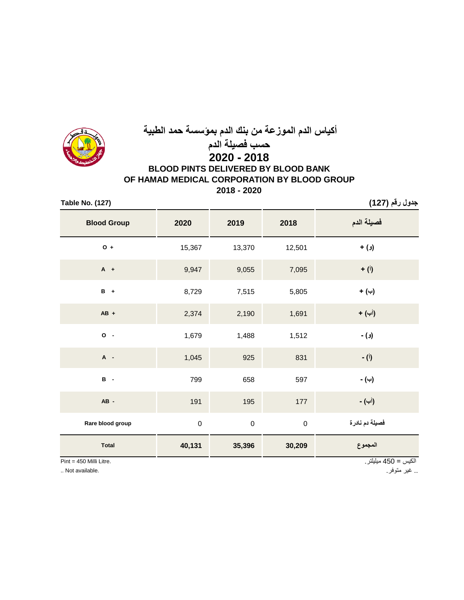

# **أكياس الدم الموزعة من بنك الدم بمؤسسة حمد الطبية حسب فصيلة الدم 2020 - 2018**

## **BLOOD PINTS DELIVERED BY BLOOD BANK OF HAMAD MEDICAL CORPORATION BY BLOOD GROUP 2018 - 2020**

**جدول رقم )127( (127) .No Table**

| <b>Blood Group</b> | 2020        | 2019      | 2018             | فصيلة الدم         |
|--------------------|-------------|-----------|------------------|--------------------|
| $O +$              | 15,367      | 13,370    | 12,501           | (و) +              |
| $A +$              | 9,947       | 9,055     | 7,095            | $+$ (i)            |
| $B +$              | 8,729       | 7,515     | 5,805            | (→)                |
| $AB +$             | 2,374       | 2,190     | 1,691            | (أب) +             |
| $0 -$              | 1,679       | 1,488     | 1,512            | (و) -              |
| A -                | 1,045       | 925       | 831              | - ( <sup>j</sup> ) |
| $B -$              | 799         | 658       | 597              | (ب) -              |
| AB-                | 191         | 195       | 177              | (أب) -             |
| Rare blood group   | $\mathbf 0$ | $\pmb{0}$ | $\boldsymbol{0}$ | فصيلة دم نادرة     |
| <b>Total</b>       | 40,131      | 35,396    | 30,209           | المجموع            |

Pint = 450 Milli Litre.

.. غير متوفر. .available Not ..

الكيس = 450 ميليلتر.